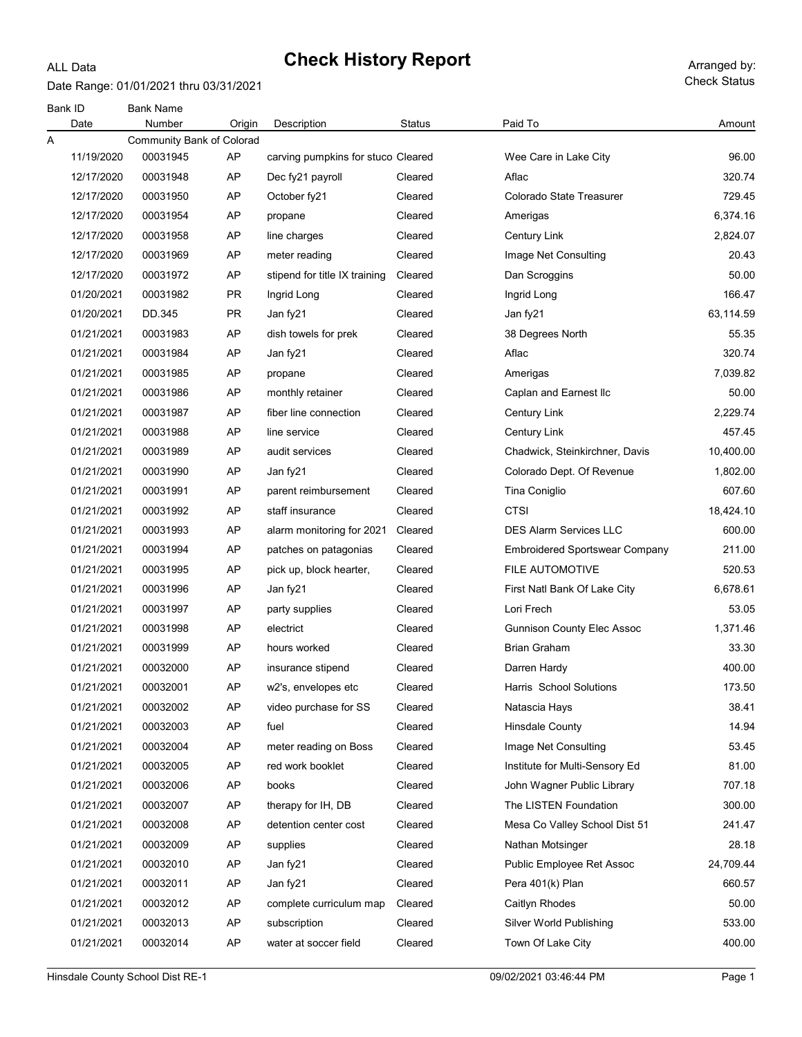Date Range: 01/01/2021 thru 03/31/2021

ALL Data

| Bank ID | Date       | <b>Bank Name</b><br>Number | Origin    | Description                        | <b>Status</b> | Paid To                               | Amount    |
|---------|------------|----------------------------|-----------|------------------------------------|---------------|---------------------------------------|-----------|
| Α       |            | Community Bank of Colorad  |           |                                    |               |                                       |           |
|         | 11/19/2020 | 00031945                   | AP        | carving pumpkins for stuco Cleared |               | Wee Care in Lake City                 | 96.00     |
|         | 12/17/2020 | 00031948                   | AP        | Dec fy21 payroll                   | Cleared       | Aflac                                 | 320.74    |
|         | 12/17/2020 | 00031950                   | AP        | October fy21                       | Cleared       | Colorado State Treasurer              | 729.45    |
|         | 12/17/2020 | 00031954                   | AP        | propane                            | Cleared       | Amerigas                              | 6,374.16  |
|         | 12/17/2020 | 00031958                   | AP        | line charges                       | Cleared       | <b>Century Link</b>                   | 2,824.07  |
|         | 12/17/2020 | 00031969                   | AP        | meter reading                      | Cleared       | Image Net Consulting                  | 20.43     |
|         | 12/17/2020 | 00031972                   | AP        | stipend for title IX training      | Cleared       | Dan Scroggins                         | 50.00     |
|         | 01/20/2021 | 00031982                   | <b>PR</b> | Ingrid Long                        | Cleared       | Ingrid Long                           | 166.47    |
|         | 01/20/2021 | DD.345                     | <b>PR</b> | Jan fy21                           | Cleared       | Jan fy21                              | 63,114.59 |
|         | 01/21/2021 | 00031983                   | AP        | dish towels for prek               | Cleared       | 38 Degrees North                      | 55.35     |
|         | 01/21/2021 | 00031984                   | AP        | Jan fy21                           | Cleared       | Aflac                                 | 320.74    |
|         | 01/21/2021 | 00031985                   | AP        | propane                            | Cleared       | Amerigas                              | 7,039.82  |
|         | 01/21/2021 | 00031986                   | AP        | monthly retainer                   | Cleared       | Caplan and Earnest Ilc                | 50.00     |
|         | 01/21/2021 | 00031987                   | AP        | fiber line connection              | Cleared       | <b>Century Link</b>                   | 2,229.74  |
|         | 01/21/2021 | 00031988                   | AP        | line service                       | Cleared       | <b>Century Link</b>                   | 457.45    |
|         | 01/21/2021 | 00031989                   | AP        | audit services                     | Cleared       | Chadwick, Steinkirchner, Davis        | 10,400.00 |
|         | 01/21/2021 | 00031990                   | AP        | Jan fy21                           | Cleared       | Colorado Dept. Of Revenue             | 1,802.00  |
|         | 01/21/2021 | 00031991                   | AP        | parent reimbursement               | Cleared       | Tina Coniglio                         | 607.60    |
|         | 01/21/2021 | 00031992                   | AP        | staff insurance                    | Cleared       | <b>CTSI</b>                           | 18,424.10 |
|         | 01/21/2021 | 00031993                   | AP        | alarm monitoring for 2021          | Cleared       | <b>DES Alarm Services LLC</b>         | 600.00    |
|         | 01/21/2021 | 00031994                   | AP        | patches on patagonias              | Cleared       | <b>Embroidered Sportswear Company</b> | 211.00    |
|         | 01/21/2021 | 00031995                   | AP        | pick up, block hearter,            | Cleared       | <b>FILE AUTOMOTIVE</b>                | 520.53    |
|         | 01/21/2021 | 00031996                   | AP        | Jan fy21                           | Cleared       | First Natl Bank Of Lake City          | 6,678.61  |
|         | 01/21/2021 | 00031997                   | AP        | party supplies                     | Cleared       | Lori Frech                            | 53.05     |
|         | 01/21/2021 | 00031998                   | AP        | electrict                          | Cleared       | <b>Gunnison County Elec Assoc</b>     | 1,371.46  |
|         | 01/21/2021 | 00031999                   | AP        | hours worked                       | Cleared       | <b>Brian Graham</b>                   | 33.30     |
|         | 01/21/2021 | 00032000                   | AP        | insurance stipend                  | Cleared       | Darren Hardy                          | 400.00    |
|         | 01/21/2021 | 00032001                   | AP        | w2's, envelopes etc                | Cleared       | Harris School Solutions               | 173.50    |
|         | 01/21/2021 | 00032002                   | AP        | video purchase for SS              | Cleared       | Natascia Hays                         | 38.41     |
|         | 01/21/2021 | 00032003                   | AP        | fuel                               | Cleared       | <b>Hinsdale County</b>                | 14.94     |
|         | 01/21/2021 | 00032004                   | AP        | meter reading on Boss              | Cleared       | Image Net Consulting                  | 53.45     |
|         | 01/21/2021 | 00032005                   | AP        | red work booklet                   | Cleared       | Institute for Multi-Sensory Ed        | 81.00     |
|         | 01/21/2021 | 00032006                   | AP        | books                              | Cleared       | John Wagner Public Library            | 707.18    |
|         | 01/21/2021 | 00032007                   | AP        | therapy for IH, DB                 | Cleared       | The LISTEN Foundation                 | 300.00    |
|         | 01/21/2021 | 00032008                   | AP        | detention center cost              | Cleared       | Mesa Co Valley School Dist 51         | 241.47    |
|         | 01/21/2021 | 00032009                   | AP        | supplies                           | Cleared       | Nathan Motsinger                      | 28.18     |
|         | 01/21/2021 | 00032010                   | AP        | Jan fy21                           | Cleared       | Public Employee Ret Assoc             | 24,709.44 |
|         | 01/21/2021 | 00032011                   | AP        | Jan fy21                           | Cleared       | Pera 401(k) Plan                      | 660.57    |
|         | 01/21/2021 | 00032012                   | AP        | complete curriculum map            | Cleared       | Caitlyn Rhodes                        | 50.00     |
|         | 01/21/2021 | 00032013                   | AP        | subscription                       | Cleared       | Silver World Publishing               | 533.00    |
|         | 01/21/2021 | 00032014                   | AP        | water at soccer field              | Cleared       | Town Of Lake City                     | 400.00    |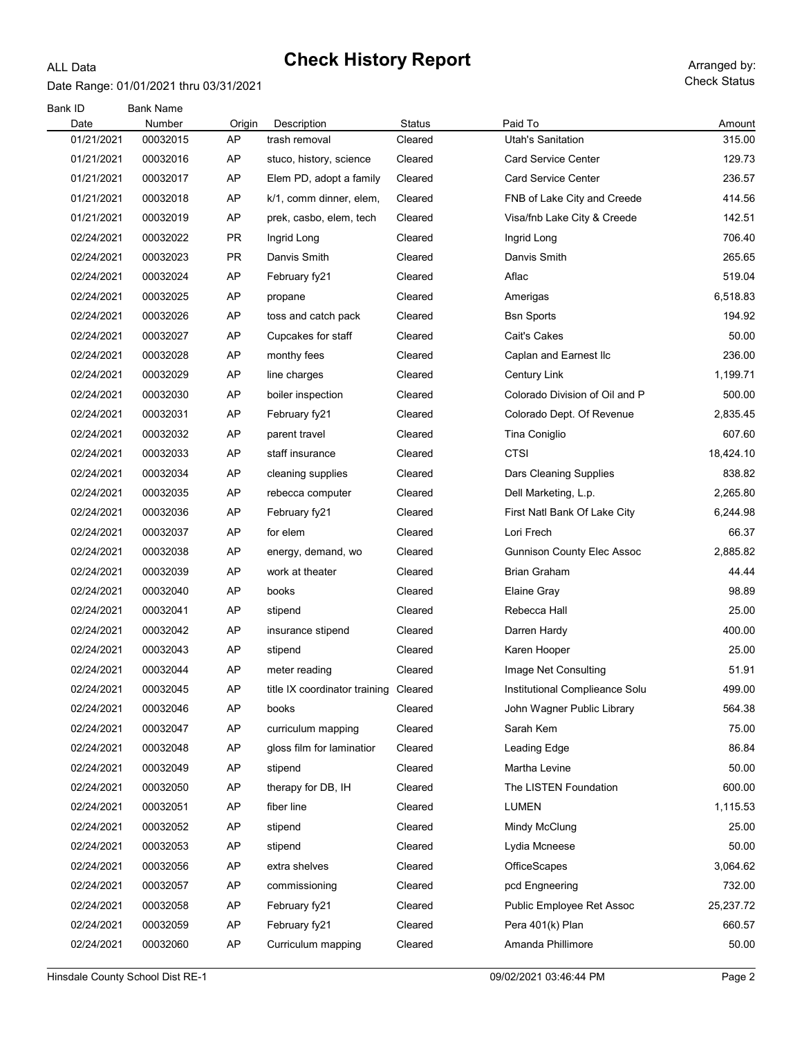#### Date Range: 01/01/2021 thru 03/31/2021

ALL Data

Check Status

| Bank ID    | <b>Bank Name</b> |           |                                       |               |                                   |                  |
|------------|------------------|-----------|---------------------------------------|---------------|-----------------------------------|------------------|
| Date       | Number           | Origin    | Description                           | <b>Status</b> | Paid To                           | Amount           |
| 01/21/2021 | 00032015         | AP<br>AP  | trash removal                         | Cleared       | <b>Utah's Sanitation</b>          | 315.00<br>129.73 |
| 01/21/2021 | 00032016         |           | stuco, history, science               | Cleared       | <b>Card Service Center</b>        |                  |
| 01/21/2021 | 00032017         | AP        | Elem PD, adopt a family               | Cleared       | <b>Card Service Center</b>        | 236.57           |
| 01/21/2021 | 00032018         | AP        | k/1, comm dinner, elem,               | Cleared       | FNB of Lake City and Creede       | 414.56           |
| 01/21/2021 | 00032019         | AP        | prek, casbo, elem, tech               | Cleared       | Visa/fnb Lake City & Creede       | 142.51           |
| 02/24/2021 | 00032022         | <b>PR</b> | Ingrid Long                           | Cleared       | Ingrid Long                       | 706.40           |
| 02/24/2021 | 00032023         | <b>PR</b> | Danvis Smith                          | Cleared       | Danvis Smith                      | 265.65           |
| 02/24/2021 | 00032024         | AP        | February fy21                         | Cleared       | Aflac                             | 519.04           |
| 02/24/2021 | 00032025         | AP        | propane                               | Cleared       | Amerigas                          | 6,518.83         |
| 02/24/2021 | 00032026         | AP        | toss and catch pack                   | Cleared       | <b>Bsn Sports</b>                 | 194.92           |
| 02/24/2021 | 00032027         | AP        | Cupcakes for staff                    | Cleared       | Cait's Cakes                      | 50.00            |
| 02/24/2021 | 00032028         | AP        | monthy fees                           | Cleared       | Caplan and Earnest Ilc            | 236.00           |
| 02/24/2021 | 00032029         | AP        | line charges                          | Cleared       | Century Link                      | 1,199.71         |
| 02/24/2021 | 00032030         | AP        | boiler inspection                     | Cleared       | Colorado Division of Oil and P    | 500.00           |
| 02/24/2021 | 00032031         | AP        | February fy21                         | Cleared       | Colorado Dept. Of Revenue         | 2,835.45         |
| 02/24/2021 | 00032032         | AP        | parent travel                         | Cleared       | Tina Coniglio                     | 607.60           |
| 02/24/2021 | 00032033         | AP        | staff insurance                       | Cleared       | <b>CTSI</b>                       | 18,424.10        |
| 02/24/2021 | 00032034         | AP        | cleaning supplies                     | Cleared       | Dars Cleaning Supplies            | 838.82           |
| 02/24/2021 | 00032035         | AP        | rebecca computer                      | Cleared       | Dell Marketing, L.p.              | 2,265.80         |
| 02/24/2021 | 00032036         | AP        | February fy21                         | Cleared       | First Natl Bank Of Lake City      | 6,244.98         |
| 02/24/2021 | 00032037         | AP        | for elem                              | Cleared       | Lori Frech                        | 66.37            |
| 02/24/2021 | 00032038         | AP        | energy, demand, wo                    | Cleared       | <b>Gunnison County Elec Assoc</b> | 2,885.82         |
| 02/24/2021 | 00032039         | AP        | work at theater                       | Cleared       | Brian Graham                      | 44.44            |
| 02/24/2021 | 00032040         | AP        | books                                 | Cleared       | Elaine Gray                       | 98.89            |
| 02/24/2021 | 00032041         | AP        | stipend                               | Cleared       | Rebecca Hall                      | 25.00            |
| 02/24/2021 | 00032042         | AP        | insurance stipend                     | Cleared       | Darren Hardy                      | 400.00           |
| 02/24/2021 | 00032043         | AP        | stipend                               | Cleared       | Karen Hooper                      | 25.00            |
| 02/24/2021 | 00032044         | AP        | meter reading                         | Cleared       | Image Net Consulting              | 51.91            |
| 02/24/2021 | 00032045         | AP        | title IX coordinator training Cleared |               | Institutional Complieance Solu    | 499.00           |
| 02/24/2021 | 00032046         | AP        | books                                 | Cleared       | John Wagner Public Library        | 564.38           |
| 02/24/2021 | 00032047         | AP        | curriculum mapping                    | Cleared       | Sarah Kem                         | 75.00            |
| 02/24/2021 | 00032048         | AP        | gloss film for laminatior             | Cleared       | Leading Edge                      | 86.84            |
| 02/24/2021 | 00032049         | AP        | stipend                               | Cleared       | Martha Levine                     | 50.00            |
| 02/24/2021 | 00032050         | AP        | therapy for DB, IH                    | Cleared       | The LISTEN Foundation             | 600.00           |
| 02/24/2021 | 00032051         | AP        | fiber line                            | Cleared       | <b>LUMEN</b>                      | 1,115.53         |
| 02/24/2021 | 00032052         | AP        | stipend                               | Cleared       | Mindy McClung                     | 25.00            |
| 02/24/2021 | 00032053         | AP        | stipend                               | Cleared       | Lydia Mcneese                     | 50.00            |
| 02/24/2021 | 00032056         | AP        | extra shelves                         | Cleared       | OfficeScapes                      | 3,064.62         |
| 02/24/2021 | 00032057         | AP        | commissioning                         | Cleared       | pcd Engneering                    | 732.00           |
| 02/24/2021 | 00032058         | AP        | February fy21                         | Cleared       | Public Employee Ret Assoc         | 25,237.72        |
| 02/24/2021 | 00032059         | AP        | February fy21                         | Cleared       | Pera 401(k) Plan                  | 660.57           |
| 02/24/2021 | 00032060         | AP        | Curriculum mapping                    | Cleared       | Amanda Phillimore                 | 50.00            |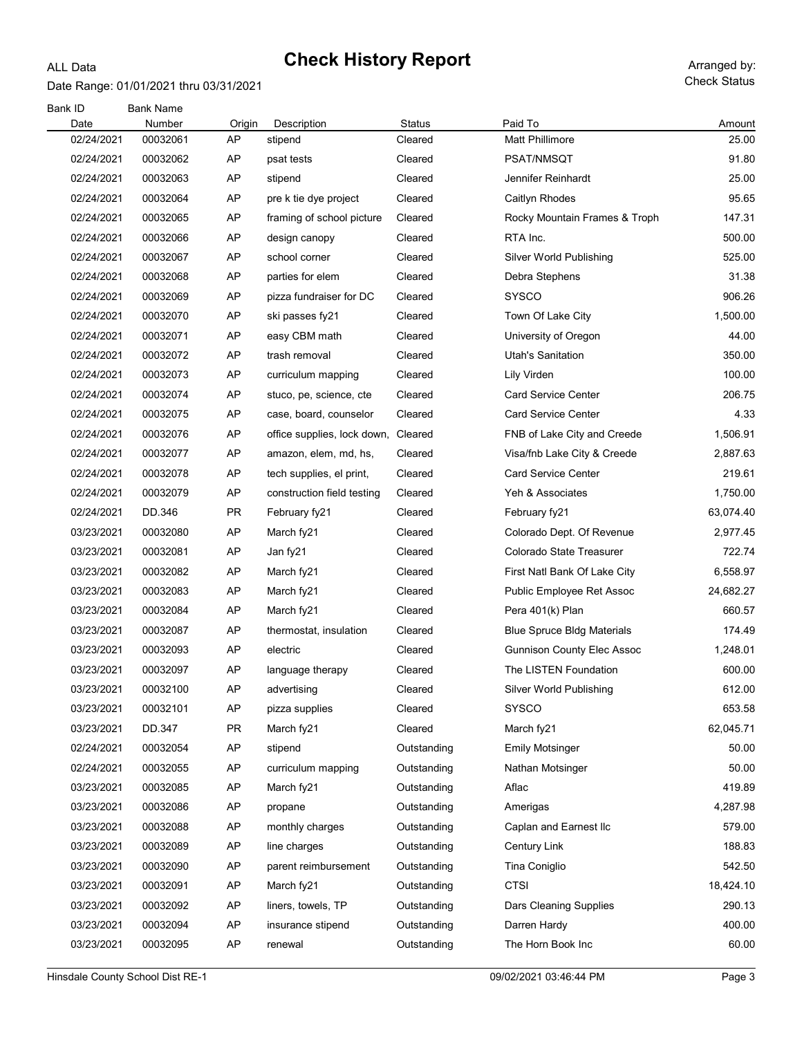#### Date Range: 01/01/2021 thru 03/31/2021

ALL Data

Check Status

| Bank ID<br>Date | <b>Bank Name</b><br>Number | Origin    | Description                 | <b>Status</b> | Paid To                           | Amount    |
|-----------------|----------------------------|-----------|-----------------------------|---------------|-----------------------------------|-----------|
| 02/24/2021      | 00032061                   | AP        | stipend                     | Cleared       | Matt Phillimore                   | 25.00     |
| 02/24/2021      | 00032062                   | AP        | psat tests                  | Cleared       | PSAT/NMSQT                        | 91.80     |
| 02/24/2021      | 00032063                   | AP        | stipend                     | Cleared       | Jennifer Reinhardt                | 25.00     |
| 02/24/2021      | 00032064                   | AP        | pre k tie dye project       | Cleared       | Caitlyn Rhodes                    | 95.65     |
| 02/24/2021      | 00032065                   | AP        | framing of school picture   | Cleared       | Rocky Mountain Frames & Troph     | 147.31    |
| 02/24/2021      | 00032066                   | AP        | design canopy               | Cleared       | RTA Inc.                          | 500.00    |
| 02/24/2021      | 00032067                   | AP        | school corner               | Cleared       | Silver World Publishing           | 525.00    |
| 02/24/2021      | 00032068                   | AP        | parties for elem            | Cleared       | Debra Stephens                    | 31.38     |
| 02/24/2021      | 00032069                   | AP        | pizza fundraiser for DC     | Cleared       | <b>SYSCO</b>                      | 906.26    |
| 02/24/2021      | 00032070                   | AP        | ski passes fy21             | Cleared       | Town Of Lake City                 | 1,500.00  |
| 02/24/2021      | 00032071                   | AP        | easy CBM math               | Cleared       | University of Oregon              | 44.00     |
| 02/24/2021      | 00032072                   | AP        | trash removal               | Cleared       | <b>Utah's Sanitation</b>          | 350.00    |
| 02/24/2021      | 00032073                   | AP        | curriculum mapping          | Cleared       | Lily Virden                       | 100.00    |
| 02/24/2021      | 00032074                   | AP        | stuco, pe, science, cte     | Cleared       | <b>Card Service Center</b>        | 206.75    |
| 02/24/2021      | 00032075                   | AP        | case, board, counselor      | Cleared       | <b>Card Service Center</b>        | 4.33      |
| 02/24/2021      | 00032076                   | AP        | office supplies, lock down, | Cleared       | FNB of Lake City and Creede       | 1,506.91  |
| 02/24/2021      | 00032077                   | AP        | amazon, elem, md, hs,       | Cleared       | Visa/fnb Lake City & Creede       | 2,887.63  |
| 02/24/2021      | 00032078                   | AP        | tech supplies, el print,    | Cleared       | <b>Card Service Center</b>        | 219.61    |
| 02/24/2021      | 00032079                   | AP        | construction field testing  | Cleared       | Yeh & Associates                  | 1,750.00  |
| 02/24/2021      | DD.346                     | PR.       | February fy21               | Cleared       | February fy21                     | 63,074.40 |
| 03/23/2021      | 00032080                   | AP        | March fy21                  | Cleared       | Colorado Dept. Of Revenue         | 2,977.45  |
| 03/23/2021      | 00032081                   | AP        | Jan fy21                    | Cleared       | Colorado State Treasurer          | 722.74    |
| 03/23/2021      | 00032082                   | AP        | March fy21                  | Cleared       | First Natl Bank Of Lake City      | 6,558.97  |
| 03/23/2021      | 00032083                   | AP        | March fy21                  | Cleared       | Public Employee Ret Assoc         | 24,682.27 |
| 03/23/2021      | 00032084                   | AP        | March fy21                  | Cleared       | Pera 401(k) Plan                  | 660.57    |
| 03/23/2021      | 00032087                   | AP        | thermostat, insulation      | Cleared       | <b>Blue Spruce Bldg Materials</b> | 174.49    |
| 03/23/2021      | 00032093                   | AP        | electric                    | Cleared       | <b>Gunnison County Elec Assoc</b> | 1,248.01  |
| 03/23/2021      | 00032097                   | AP        | language therapy            | Cleared       | The LISTEN Foundation             | 600.00    |
| 03/23/2021      | 00032100                   | AP        | advertising                 | Cleared       | Silver World Publishing           | 612.00    |
| 03/23/2021      | 00032101                   | AP        | pizza supplies              | Cleared       | <b>SYSCO</b>                      | 653.58    |
| 03/23/2021      | DD.347                     | <b>PR</b> | March fy21                  | Cleared       | March fy21                        | 62,045.71 |
| 02/24/2021      | 00032054                   | AP        | stipend                     | Outstanding   | <b>Emily Motsinger</b>            | 50.00     |
| 02/24/2021      | 00032055                   | AP        | curriculum mapping          | Outstanding   | Nathan Motsinger                  | 50.00     |
| 03/23/2021      | 00032085                   | AP        | March fy21                  | Outstanding   | Aflac                             | 419.89    |
| 03/23/2021      | 00032086                   | AP        | propane                     | Outstanding   | Amerigas                          | 4,287.98  |
| 03/23/2021      | 00032088                   | AP        | monthly charges             | Outstanding   | Caplan and Earnest Ilc            | 579.00    |
| 03/23/2021      | 00032089                   | AP        | line charges                | Outstanding   | Century Link                      | 188.83    |
| 03/23/2021      | 00032090                   | AP        | parent reimbursement        | Outstanding   | Tina Coniglio                     | 542.50    |
| 03/23/2021      | 00032091                   | AP        | March fy21                  | Outstanding   | <b>CTSI</b>                       | 18,424.10 |
| 03/23/2021      | 00032092                   | AP        | liners, towels, TP          | Outstanding   | Dars Cleaning Supplies            | 290.13    |
| 03/23/2021      | 00032094                   | AP        | insurance stipend           | Outstanding   | Darren Hardy                      | 400.00    |
| 03/23/2021      | 00032095                   | AP        | renewal                     | Outstanding   | The Horn Book Inc                 | 60.00     |